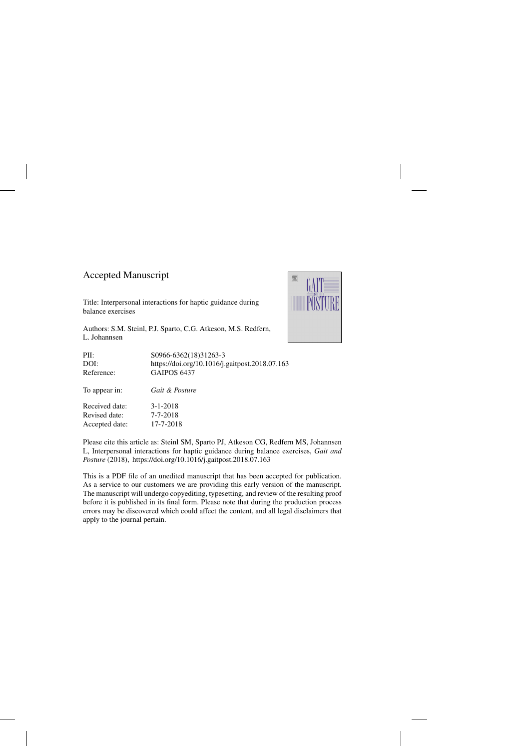## Accepted Manuscript

Title: Interpersonal interactions for haptic guidance during balance exercises

Authors: S.M. Steinl, P.J. Sparto, C.G. Atkeson, M.S. Redfern, L. Johannsen



Please cite this article as: Steinl SM, Sparto PJ, Atkeson CG, Redfern MS, Johannsen L, Interpersonal interactions for haptic guidance during balance exercises, *Gait and Posture* (2018),<https://doi.org/10.1016/j.gaitpost.2018.07.163>

This is a PDF file of an unedited manuscript that has been accepted for publication. As a service to our customers we are providing this early version of the manuscript. The manuscript will undergo copyediting, typesetting, and review of the resulting proof before it is published in its final form. Please note that during the production process errors may be discovered which could affect the content, and all legal disclaimers that apply to the journal pertain.

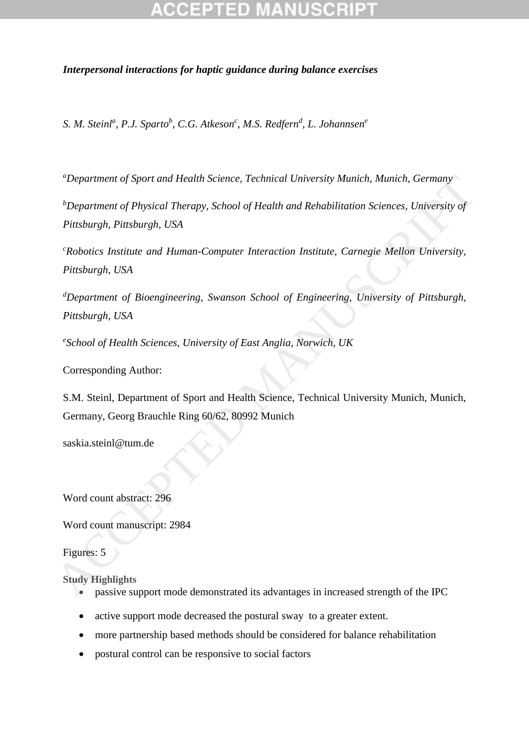### *Interpersonal interactions for haptic guidance during balance exercises*

*S. M. Steinl<sup>a</sup> , P.J. Sparto<sup>b</sup> , C.G. Atkeson<sup>c</sup> , M.S. Redfern<sup>d</sup> , L. Johannsen<sup>e</sup>*

*<sup>a</sup>Department of Sport and Health Science, Technical University Munich, Munich, Germany*

*<sup>b</sup>Department of Physical Therapy, School of Health and Rehabilitation Sciences, University of Pittsburgh, Pittsburgh, USA*

*<sup>c</sup>Robotics Institute and Human-Computer Interaction Institute, Carnegie Mellon University, Pittsburgh, USA* "Department of Sport and Health Science, Technical University Munich, Munich, Germany<br>
"Department of Physical Therapy, School of Health and Rehabilitation Sciences, University of<br>
Pitsburgh, Pitsburgh, USA<br>
"Robotics Inst

*<sup>d</sup>Department of Bioengineering, Swanson School of Engineering, University of Pittsburgh, Pittsburgh, USA*

*e School of Health Sciences, University of East Anglia, Norwich, UK*

Corresponding Author:

S.M. Steinl, Department of Sport and Health Science, Technical University Munich, Munich, Germany, Georg Brauchle Ring 60/62, 80992 Munich

saskia.steinl@tum.de

Word count abstract: 296

Word count manuscript: 2984

Figures: 5

**Study Highlights**

- passive support mode demonstrated its advantages in increased strength of the IPC
- active support mode decreased the postural sway to a greater extent.
- more partnership based methods should be considered for balance rehabilitation
- postural control can be responsive to social factors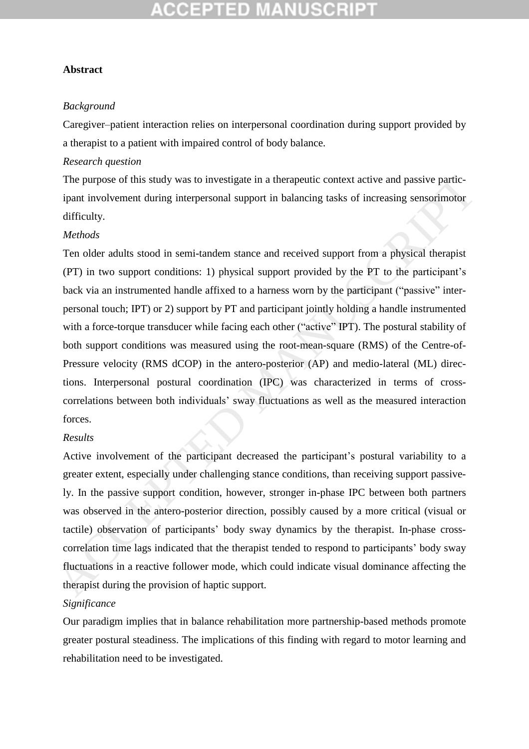### **Abstract**

#### *Background*

Caregiver–patient interaction relies on interpersonal coordination during support provided by a therapist to a patient with impaired control of body balance.

### *Research question*

The purpose of this study was to investigate in a therapeutic context active and passive participant involvement during interpersonal support in balancing tasks of increasing sensorimotor difficulty.

#### *Methods*

Ten older adults stood in semi-tandem stance and received support from a physical therapist (PT) in two support conditions: 1) physical support provided by the PT to the participant's back via an instrumented handle affixed to a harness worn by the participant ("passive" interpersonal touch; IPT) or 2) support by PT and participant jointly holding a handle instrumented with a force-torque transducer while facing each other ("active" IPT). The postural stability of both support conditions was measured using the root-mean-square (RMS) of the Centre-of-Pressure velocity (RMS dCOP) in the antero-posterior (AP) and medio-lateral (ML) directions. Interpersonal postural coordination (IPC) was characterized in terms of crosscorrelations between both individuals' sway fluctuations as well as the measured interaction forces. The purpose of this study was to investigate in a therapeutic context active and passive partic-<br>ipant involvement during interpersonal support in halancing tasks of increasing sensorimotor<br>difficulty.<br>Methods<br>Ten older a

#### *Results*

Active involvement of the participant decreased the participant's postural variability to a greater extent, especially under challenging stance conditions, than receiving support passively. In the passive support condition, however, stronger in-phase IPC between both partners was observed in the antero-posterior direction, possibly caused by a more critical (visual or tactile) observation of participants' body sway dynamics by the therapist. In-phase crosscorrelation time lags indicated that the therapist tended to respond to participants' body sway fluctuations in a reactive follower mode, which could indicate visual dominance affecting the therapist during the provision of haptic support.

## *Significance*

Our paradigm implies that in balance rehabilitation more partnership-based methods promote greater postural steadiness. The implications of this finding with regard to motor learning and rehabilitation need to be investigated.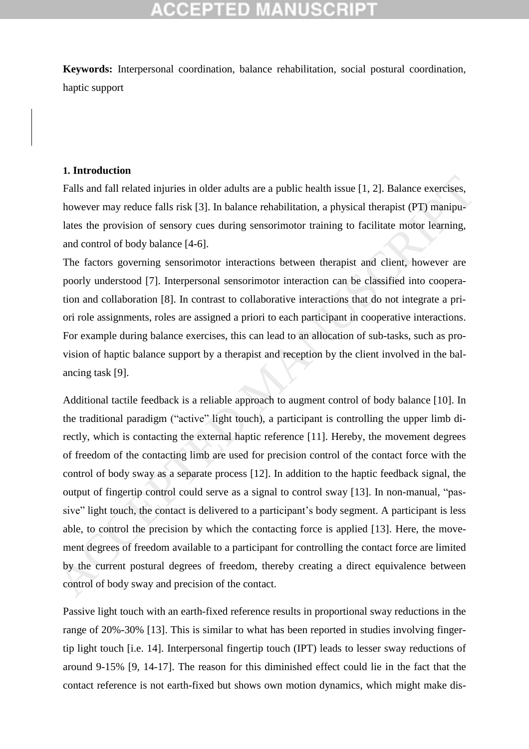**Keywords:** Interpersonal coordination, balance rehabilitation, social postural coordination*,* haptic support

### **1. Introduction**

Falls and fall related injuries in older adults are a public health issue [1, 2]. Balance exercises, however may reduce falls risk [3]. In balance rehabilitation, a physical therapist (PT) manipulates the provision of sensory cues during sensorimotor training to facilitate motor learning, and control of body balance [4-6].

The factors governing sensorimotor interactions between therapist and client, however are poorly understood [7]. Interpersonal sensorimotor interaction can be classified into cooperation and collaboration [8]. In contrast to collaborative interactions that do not integrate a priori role assignments, roles are assigned a priori to each participant in cooperative interactions. For example during balance exercises, this can lead to an allocation of sub-tasks, such as provision of haptic balance support by a therapist and reception by the client involved in the balancing task [9].

Additional tactile feedback is a reliable approach to augment control of body balance [10]. In the traditional paradigm ("active" light touch), a participant is controlling the upper limb directly, which is contacting the external haptic reference [11]. Hereby, the movement degrees of freedom of the contacting limb are used for precision control of the contact force with the control of body sway as a separate process [12]. In addition to the haptic feedback signal, the output of fingertip control could serve as a signal to control sway [13]. In non-manual, "passive" light touch, the contact is delivered to a participant's body segment. A participant is less able, to control the precision by which the contacting force is applied [13]. Here, the movement degrees of freedom available to a participant for controlling the contact force are limited by the current postural degrees of freedom, thereby creating a direct equivalence between control of body sway and precision of the contact. Falls and fall related injuries in older adults are a public health issue [1, 2]. Balance exercises,<br>however may reduce falls risk [3]. In balance rehabilitation, a physical therapist (PT) manipu-<br>lates the provision of s

Passive light touch with an earth-fixed reference results in proportional sway reductions in the range of 20%-30% [13]. This is similar to what has been reported in studies involving fingertip light touch [i.e. 14]. Interpersonal fingertip touch (IPT) leads to lesser sway reductions of around 9-15% [9, 14-17]. The reason for this diminished effect could lie in the fact that the contact reference is not earth-fixed but shows own motion dynamics, which might make dis-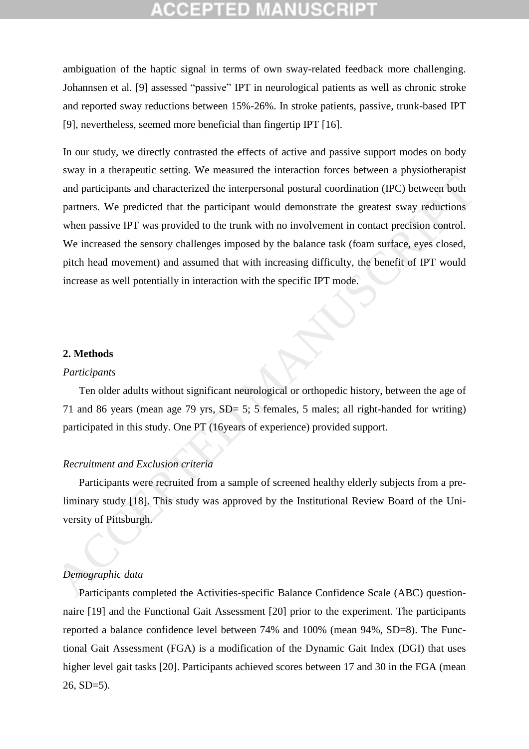ambiguation of the haptic signal in terms of own sway-related feedback more challenging. Johannsen et al. [9] assessed "passive" IPT in neurological patients as well as chronic stroke and reported sway reductions between 15%-26%. In stroke patients, passive, trunk-based IPT [9], nevertheless, seemed more beneficial than fingertip IPT [16].

In our study, we directly contrasted the effects of active and passive support modes on body sway in a therapeutic setting. We measured the interaction forces between a physiotherapist and participants and characterized the interpersonal postural coordination (IPC) between both partners. We predicted that the participant would demonstrate the greatest sway reductions when passive IPT was provided to the trunk with no involvement in contact precision control. We increased the sensory challenges imposed by the balance task (foam surface, eyes closed, pitch head movement) and assumed that with increasing difficulty, the benefit of IPT would increase as well potentially in interaction with the specific IPT mode. and participants and characterized the interpersonal postural coordination (IPC) between both<br>partners. We predicted that the participant would demonstrate the greatest sway reductions<br>when passive IPT was provided to the

#### **2. Methods**

#### *Participants*

Ten older adults without significant neurological or orthopedic history, between the age of 71 and 86 years (mean age 79 yrs,  $SD = 5$ ; 5 females, 5 males; all right-handed for writing) participated in this study. One PT (16years of experience) provided support.

#### *Recruitment and Exclusion criteria*

Participants were recruited from a sample of screened healthy elderly subjects from a preliminary study [18]. This study was approved by the Institutional Review Board of the University of Pittsburgh.

#### *Demographic data*

Participants completed the Activities-specific Balance Confidence Scale (ABC) questionnaire [19] and the Functional Gait Assessment [20] prior to the experiment. The participants reported a balance confidence level between 74% and 100% (mean 94%, SD=8). The Functional Gait Assessment (FGA) is a modification of the Dynamic Gait Index (DGI) that uses higher level gait tasks [20]. Participants achieved scores between 17 and 30 in the FGA (mean 26, SD=5).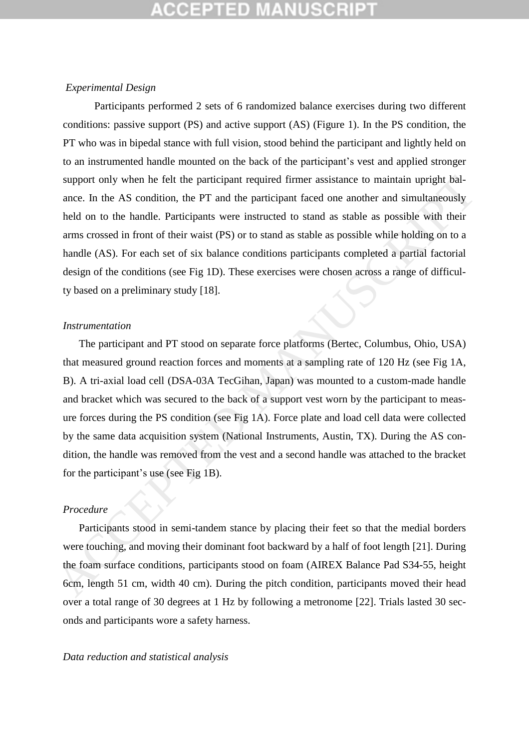#### *Experimental Design*

Participants performed 2 sets of 6 randomized balance exercises during two different conditions: passive support (PS) and active support (AS) (Figure 1). In the PS condition, the PT who was in bipedal stance with full vision, stood behind the participant and lightly held on to an instrumented handle mounted on the back of the participant's vest and applied stronger support only when he felt the participant required firmer assistance to maintain upright balance. In the AS condition, the PT and the participant faced one another and simultaneously held on to the handle. Participants were instructed to stand as stable as possible with their arms crossed in front of their waist (PS) or to stand as stable as possible while holding on to a handle (AS). For each set of six balance conditions participants completed a partial factorial design of the conditions (see Fig 1D). These exercises were chosen across a range of difficulty based on a preliminary study [18].

#### *Instrumentation*

The participant and PT stood on separate force platforms (Bertec, Columbus, Ohio, USA) that measured ground reaction forces and moments at a sampling rate of 120 Hz (see Fig 1A, B). A tri-axial load cell (DSA-03A TecGihan, Japan) was mounted to a custom-made handle and bracket which was secured to the back of a support vest worn by the participant to measure forces during the PS condition (see Fig 1A). Force plate and load cell data were collected by the same data acquisition system (National Instruments, Austin, TX). During the AS condition, the handle was removed from the vest and a second handle was attached to the bracket for the participant's use (see Fig 1B). support only when he felt the participant required firmer assistance to maintain upright bal-<br>ance. In the AS condition, the PT and the participant faced one another and simultaneously<br>included on to the handle. Participa

#### *Procedure*

Participants stood in semi-tandem stance by placing their feet so that the medial borders were touching, and moving their dominant foot backward by a half of foot length [21]. During the foam surface conditions, participants stood on foam (AIREX Balance Pad S34-55, height 6cm, length 51 cm, width 40 cm). During the pitch condition, participants moved their head over a total range of 30 degrees at 1 Hz by following a metronome [22]. Trials lasted 30 seconds and participants wore a safety harness.

#### *Data reduction and statistical analysis*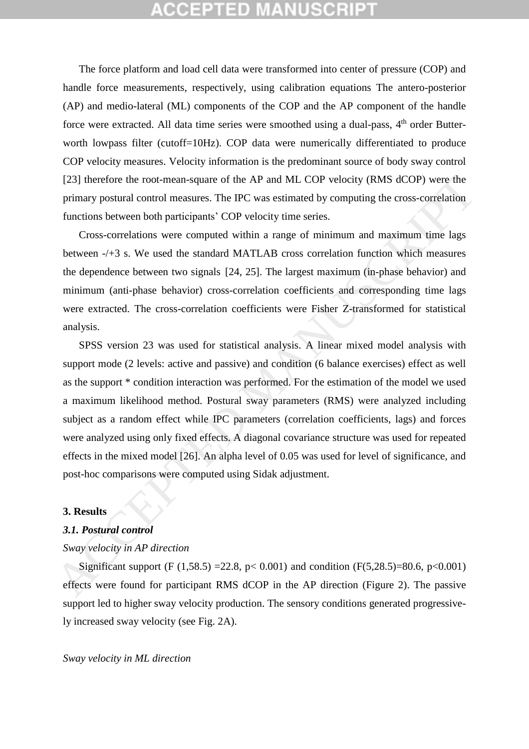# CEPTED

The force platform and load cell data were transformed into center of pressure (COP) and handle force measurements, respectively, using calibration equations The antero-posterior (AP) and medio-lateral (ML) components of the COP and the AP component of the handle force were extracted. All data time series were smoothed using a dual-pass, 4<sup>th</sup> order Butterworth lowpass filter (cutoff=10Hz). COP data were numerically differentiated to produce COP velocity measures. Velocity information is the predominant source of body sway control [23] therefore the root-mean-square of the AP and ML COP velocity (RMS dCOP) were the primary postural control measures. The IPC was estimated by computing the cross-correlation functions between both participants' COP velocity time series.

Cross-correlations were computed within a range of minimum and maximum time lags between -/+3 s. We used the standard MATLAB cross correlation function which measures the dependence between two signals [24, 25]. The largest maximum (in-phase behavior) and minimum (anti-phase behavior) cross-correlation coefficients and corresponding time lags were extracted. The cross-correlation coefficients were Fisher Z-transformed for statistical analysis.

SPSS version 23 was used for statistical analysis. A linear mixed model analysis with support mode (2 levels: active and passive) and condition (6 balance exercises) effect as well as the support \* condition interaction was performed. For the estimation of the model we used a maximum likelihood method. Postural sway parameters (RMS) were analyzed including subject as a random effect while IPC parameters (correlation coefficients, lags) and forces were analyzed using only fixed effects. A diagonal covariance structure was used for repeated effects in the mixed model [26]. An alpha level of 0.05 was used for level of significance, and post-hoc comparisons were computed using Sidak adjustment. [23] therefore the root-mean-square of the AP and ML COP velocity (RMS dCOP) were the<br>primary postural conrot measures. The IPC was estimated by computing the cross-correlation<br>functions between both participants' COP vel

#### **3. Results**

### *3.1. Postural control*

## *Sway velocity in AP direction*

Significant support (F  $(1,58.5)$  =22.8, p< 0.001) and condition (F $(5,28.5)$ =80.6, p<0.001) effects were found for participant RMS dCOP in the AP direction (Figure 2). The passive support led to higher sway velocity production. The sensory conditions generated progressively increased sway velocity (see Fig. 2A).

#### *Sway velocity in ML direction*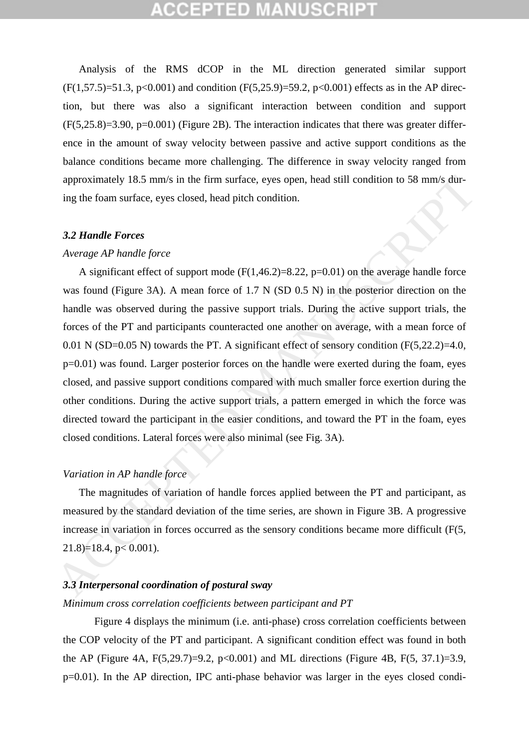Analysis of the RMS dCOP in the ML direction generated similar support  $(F(1,57.5)=51.3, p<0.001)$  and condition  $(F(5,25.9)=59.2, p<0.001)$  effects as in the AP direction, but there was also a significant interaction between condition and support  $(F(5,25.8)=3.90, p=0.001)$  (Figure 2B). The interaction indicates that there was greater difference in the amount of sway velocity between passive and active support conditions as the balance conditions became more challenging. The difference in sway velocity ranged from approximately 18.5 mm/s in the firm surface, eyes open, head still condition to 58 mm/s during the foam surface, eyes closed, head pitch condition.

#### *3.2 Handle Forces*

#### *Average AP handle force*

A significant effect of support mode  $(F(1,46.2)=8.22, p=0.01)$  on the average handle force was found (Figure 3A). A mean force of 1.7 N (SD 0.5 N) in the posterior direction on the handle was observed during the passive support trials. During the active support trials, the forces of the PT and participants counteracted one another on average, with a mean force of 0.01 N (SD=0.05 N) towards the PT. A significant effect of sensory condition (F(5,22.2)=4.0, p=0.01) was found. Larger posterior forces on the handle were exerted during the foam, eyes closed, and passive support conditions compared with much smaller force exertion during the other conditions. During the active support trials, a pattern emerged in which the force was directed toward the participant in the easier conditions, and toward the PT in the foam, eyes closed conditions. Lateral forces were also minimal (see Fig. 3A). approximately 18.5 mm/s in the firm surface, eyes open, head still condition to 58 mm/s during the foam surface, eyes closed, head pitch condition.<br>
3.2 Handle Forces<br>
Average AP handle force<br>
A significant effect of supp

#### *Variation in AP handle force*

The magnitudes of variation of handle forces applied between the PT and participant, as measured by the standard deviation of the time series, are shown in Figure 3B. A progressive increase in variation in forces occurred as the sensory conditions became more difficult (F(5, 21.8)=18.4, p< 0.001).

#### *3.3 Interpersonal coordination of postural sway*

#### *Minimum cross correlation coefficients between participant and PT*

Figure 4 displays the minimum (i.e. anti-phase) cross correlation coefficients between the COP velocity of the PT and participant. A significant condition effect was found in both the AP (Figure 4A, F(5,29.7)=9.2, p<0.001) and ML directions (Figure 4B, F(5, 37.1)=3.9, p=0.01). In the AP direction, IPC anti-phase behavior was larger in the eyes closed condi-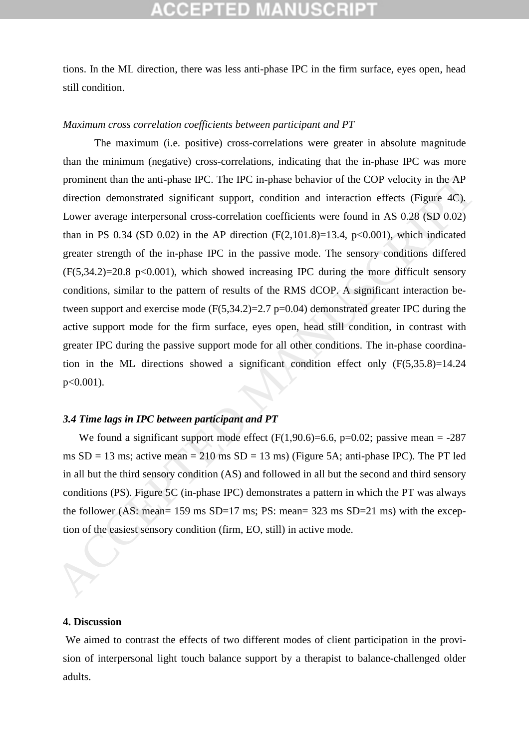tions. In the ML direction, there was less anti-phase IPC in the firm surface, eyes open, head still condition.

### *Maximum cross correlation coefficients between participant and PT*

The maximum (i.e. positive) cross-correlations were greater in absolute magnitude than the minimum (negative) cross-correlations, indicating that the in-phase IPC was more prominent than the anti-phase IPC. The IPC in-phase behavior of the COP velocity in the AP direction demonstrated significant support, condition and interaction effects (Figure 4C). Lower average interpersonal cross-correlation coefficients were found in AS 0.28 (SD 0.02) than in PS 0.34 (SD 0.02) in the AP direction  $(F(2,101.8)=13.4, p<0.001)$ , which indicated greater strength of the in-phase IPC in the passive mode. The sensory conditions differed  $(F(5,34.2)=20.8 \text{ p}<0.001)$ , which showed increasing IPC during the more difficult sensory conditions, similar to the pattern of results of the RMS dCOP. A significant interaction between support and exercise mode  $(F(5, 34.2)=2.7 \text{ p} = 0.04)$  demonstrated greater IPC during the active support mode for the firm surface, eyes open, head still condition, in contrast with greater IPC during the passive support mode for all other conditions. The in-phase coordination in the ML directions showed a significant condition effect only (F(5,35.8)=14.24  $p<0.001$ ). prominent than the anti-phase IPC. The IPC in-phase behavior of the COP velocity in the AP<br>direction denomestrated significant support, condition and interaction effects (Figure 4C).<br>Lower average interpresonal cross-corr

## *3.4 Time lags in IPC between participant and PT*

We found a significant support mode effect  $(F(1, 90.6)=6.6, p=0.02;$  passive mean = -287 ms  $SD = 13$  ms; active mean = 210 ms  $SD = 13$  ms) (Figure 5A; anti-phase IPC). The PT led in all but the third sensory condition (AS) and followed in all but the second and third sensory conditions (PS). Figure 5C (in-phase IPC) demonstrates a pattern in which the PT was always the follower (AS: mean= 159 ms SD=17 ms; PS: mean= 323 ms SD=21 ms) with the exception of the easiest sensory condition (firm, EO, still) in active mode.

#### **4. Discussion**

We aimed to contrast the effects of two different modes of client participation in the provision of interpersonal light touch balance support by a therapist to balance-challenged older adults.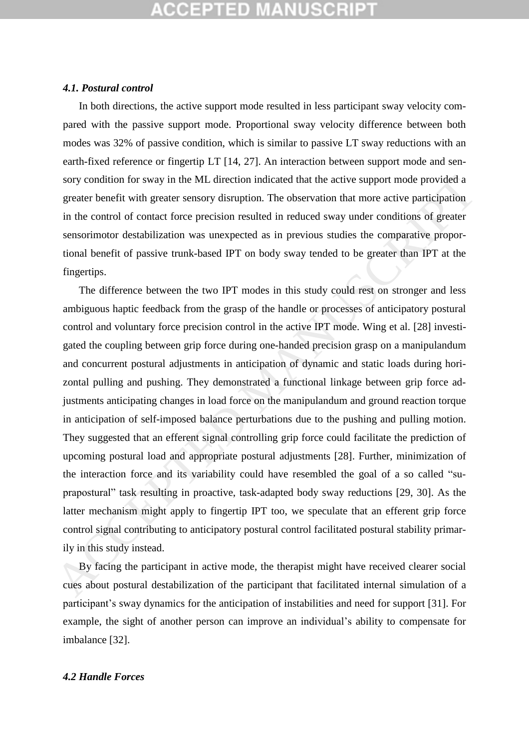# **CCEPTED MANUSCR**I

#### *4.1. Postural control*

In both directions, the active support mode resulted in less participant sway velocity compared with the passive support mode. Proportional sway velocity difference between both modes was 32% of passive condition, which is similar to passive LT sway reductions with an earth-fixed reference or fingertip LT [14, 27]. An interaction between support mode and sensory condition for sway in the ML direction indicated that the active support mode provided a greater benefit with greater sensory disruption. The observation that more active participation in the control of contact force precision resulted in reduced sway under conditions of greater sensorimotor destabilization was unexpected as in previous studies the comparative proportional benefit of passive trunk-based IPT on body sway tended to be greater than IPT at the fingertips.

The difference between the two IPT modes in this study could rest on stronger and less ambiguous haptic feedback from the grasp of the handle or processes of anticipatory postural control and voluntary force precision control in the active IPT mode. Wing et al. [28] investigated the coupling between grip force during one-handed precision grasp on a manipulandum and concurrent postural adjustments in anticipation of dynamic and static loads during horizontal pulling and pushing. They demonstrated a functional linkage between grip force adjustments anticipating changes in load force on the manipulandum and ground reaction torque in anticipation of self-imposed balance perturbations due to the pushing and pulling motion. They suggested that an efferent signal controlling grip force could facilitate the prediction of upcoming postural load and appropriate postural adjustments [28]. Further, minimization of the interaction force and its variability could have resembled the goal of a so called "suprapostural" task resulting in proactive, task-adapted body sway reductions [29, 30]. As the latter mechanism might apply to fingertip IPT too, we speculate that an efferent grip force control signal contributing to anticipatory postural control facilitated postural stability primarily in this study instead. sory condition for sway in the ML direction indicated that the active support mode provided a<br>greater benefit with greater sensory disruption. The observation that more active participation<br>in the control of contact force

By facing the participant in active mode, the therapist might have received clearer social cues about postural destabilization of the participant that facilitated internal simulation of a participant's sway dynamics for the anticipation of instabilities and need for support [31]. For example, the sight of another person can improve an individual's ability to compensate for imbalance [32].

### *4.2 Handle Forces*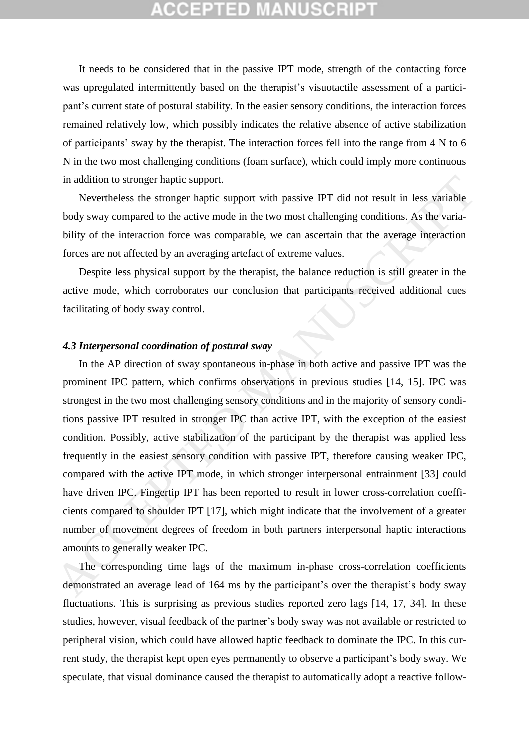# **CEPTED MANUSCR**

It needs to be considered that in the passive IPT mode, strength of the contacting force was upregulated intermittently based on the therapist's visuotactile assessment of a participant's current state of postural stability. In the easier sensory conditions, the interaction forces remained relatively low, which possibly indicates the relative absence of active stabilization of participants' sway by the therapist. The interaction forces fell into the range from 4 N to 6 N in the two most challenging conditions (foam surface), which could imply more continuous in addition to stronger haptic support.

Nevertheless the stronger haptic support with passive IPT did not result in less variable body sway compared to the active mode in the two most challenging conditions. As the variability of the interaction force was comparable, we can ascertain that the average interaction forces are not affected by an averaging artefact of extreme values.

Despite less physical support by the therapist, the balance reduction is still greater in the active mode, which corroborates our conclusion that participants received additional cues facilitating of body sway control.

## *4.3 Interpersonal coordination of postural sway*

In the AP direction of sway spontaneous in-phase in both active and passive IPT was the prominent IPC pattern, which confirms observations in previous studies [14, 15]. IPC was strongest in the two most challenging sensory conditions and in the majority of sensory conditions passive IPT resulted in stronger IPC than active IPT, with the exception of the easiest condition. Possibly, active stabilization of the participant by the therapist was applied less frequently in the easiest sensory condition with passive IPT, therefore causing weaker IPC, compared with the active IPT mode, in which stronger interpersonal entrainment [33] could have driven IPC. Fingertip IPT has been reported to result in lower cross-correlation coefficients compared to shoulder IPT [17], which might indicate that the involvement of a greater number of movement degrees of freedom in both partners interpersonal haptic interactions amounts to generally weaker IPC. in addition to stronger haptic support.<br>
Nevertheless the stronger haptic support with passive IPT did not result in less variable<br>
Newtware compared to the active mode in the two most challenging conditions. As the varia

The corresponding time lags of the maximum in-phase cross-correlation coefficients demonstrated an average lead of 164 ms by the participant's over the therapist's body sway fluctuations. This is surprising as previous studies reported zero lags [14, 17, 34]. In these studies, however, visual feedback of the partner's body sway was not available or restricted to peripheral vision, which could have allowed haptic feedback to dominate the IPC. In this current study, the therapist kept open eyes permanently to observe a participant's body sway. We speculate, that visual dominance caused the therapist to automatically adopt a reactive follow-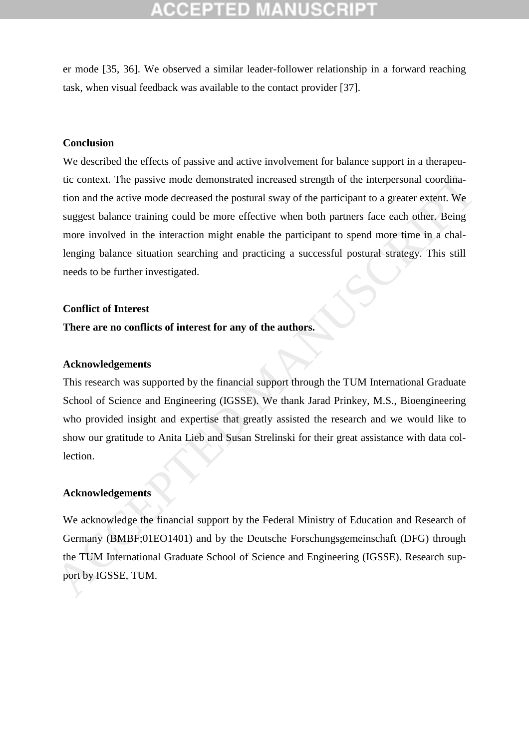er mode [35, 36]. We observed a similar leader-follower relationship in a forward reaching task, when visual feedback was available to the contact provider [37].

### **Conclusion**

We described the effects of passive and active involvement for balance support in a therapeutic context. The passive mode demonstrated increased strength of the interpersonal coordination and the active mode decreased the postural sway of the participant to a greater extent. We suggest balance training could be more effective when both partners face each other. Being more involved in the interaction might enable the participant to spend more time in a challenging balance situation searching and practicing a successful postural strategy. This still needs to be further investigated. itic context. The passive mode demonstrated increased strength of the interpersonal coordination and the active mode decreased the postural sway of the participant to a greater extent. We suggest balance training could be

#### **Conflict of Interest**

#### **There are no conflicts of interest for any of the authors.**

#### **Acknowledgements**

This research was supported by the financial support through the TUM International Graduate School of Science and Engineering (IGSSE). We thank Jarad Prinkey, M.S., Bioengineering who provided insight and expertise that greatly assisted the research and we would like to show our gratitude to Anita Lieb and Susan Strelinski for their great assistance with data collection.

### **Acknowledgements**

We acknowledge the financial support by the Federal Ministry of Education and Research of Germany (BMBF;01EO1401) and by the Deutsche Forschungsgemeinschaft (DFG) through the TUM International Graduate School of Science and Engineering (IGSSE). Research sup-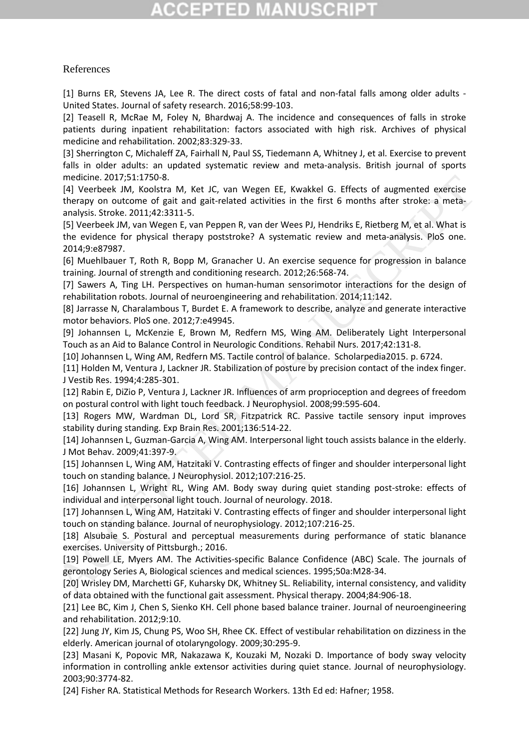# **CCEPTED MANUSCR**

### References

[1] Burns ER, Stevens JA, Lee R. The direct costs of fatal and non-fatal falls among older adults - United States. Journal of safety research. 2016;58:99-103.

[2] Teasell R, McRae M, Foley N, Bhardwaj A. The incidence and consequences of falls in stroke patients during inpatient rehabilitation: factors associated with high risk. Archives of physical medicine and rehabilitation. 2002;83:329-33.

[3] Sherrington C, Michaleff ZA, Fairhall N, Paul SS, Tiedemann A, Whitney J, et al. Exercise to prevent falls in older adults: an updated systematic review and meta-analysis. British journal of sports medicine. 2017;51:1750-8.

[4] Veerbeek JM, Koolstra M, Ket JC, van Wegen EE, Kwakkel G. Effects of augmented exercise therapy on outcome of gait and gait-related activities in the first 6 months after stroke: a metaanalysis. Stroke. 2011;42:3311-5. ACCEPTED MANUSCRIPT

[5] Veerbeek JM, van Wegen E, van Peppen R, van der Wees PJ, Hendriks E, Rietberg M, et al. What is the evidence for physical therapy poststroke? A systematic review and meta-analysis. PloS one. 2014;9:e87987.

[6] Muehlbauer T, Roth R, Bopp M, Granacher U. An exercise sequence for progression in balance training. Journal of strength and conditioning research. 2012;26:568-74.

[7] Sawers A, Ting LH. Perspectives on human-human sensorimotor interactions for the design of rehabilitation robots. Journal of neuroengineering and rehabilitation. 2014;11:142.

[8] Jarrasse N, Charalambous T, Burdet E. A framework to describe, analyze and generate interactive motor behaviors. PloS one. 2012;7:e49945.

[9] Johannsen L, McKenzie E, Brown M, Redfern MS, Wing AM. Deliberately Light Interpersonal Touch as an Aid to Balance Control in Neurologic Conditions. Rehabil Nurs. 2017;42:131-8.

[10] Johannsen L, Wing AM, Redfern MS. Tactile control of balance. Scholarpedia2015. p. 6724.

[11] Holden M, Ventura J, Lackner JR. Stabilization of posture by precision contact of the index finger. J Vestib Res. 1994;4:285-301.

[12] Rabin E, DiZio P, Ventura J, Lackner JR. Influences of arm proprioception and degrees of freedom on postural control with light touch feedback. J Neurophysiol. 2008;99:595-604.

[13] Rogers MW, Wardman DL, Lord SR, Fitzpatrick RC. Passive tactile sensory input improves stability during standing. Exp Brain Res. 2001;136:514-22.

[14] Johannsen L, Guzman-Garcia A, Wing AM. Interpersonal light touch assists balance in the elderly. J Mot Behav. 2009;41:397-9.

[15] Johannsen L, Wing AM, Hatzitaki V. Contrasting effects of finger and shoulder interpersonal light touch on standing balance. J Neurophysiol. 2012;107:216-25.

[16] Johannsen L, Wright RL, Wing AM. Body sway during quiet standing post-stroke: effects of individual and interpersonal light touch. Journal of neurology. 2018.

[17] Johannsen L, Wing AM, Hatzitaki V. Contrasting effects of finger and shoulder interpersonal light touch on standing balance. Journal of neurophysiology. 2012;107:216-25.

[18] Alsubaie S. Postural and perceptual measurements during performance of static blanance exercises. University of Pittsburgh.; 2016.

[19] Powell LE, Myers AM. The Activities-specific Balance Confidence (ABC) Scale. The journals of gerontology Series A, Biological sciences and medical sciences. 1995;50a:M28-34.

[20] Wrisley DM, Marchetti GF, Kuharsky DK, Whitney SL. Reliability, internal consistency, and validity of data obtained with the functional gait assessment. Physical therapy. 2004;84:906-18.

[21] Lee BC, Kim J, Chen S, Sienko KH. Cell phone based balance trainer. Journal of neuroengineering and rehabilitation. 2012;9:10.

[22] Jung JY, Kim JS, Chung PS, Woo SH, Rhee CK. Effect of vestibular rehabilitation on dizziness in the elderly. American journal of otolaryngology. 2009;30:295-9.

[23] Masani K, Popovic MR, Nakazawa K, Kouzaki M, Nozaki D. Importance of body sway velocity information in controlling ankle extensor activities during quiet stance. Journal of neurophysiology. 2003;90:3774-82.

[24] Fisher RA. Statistical Methods for Research Workers. 13th Ed ed: Hafner; 1958.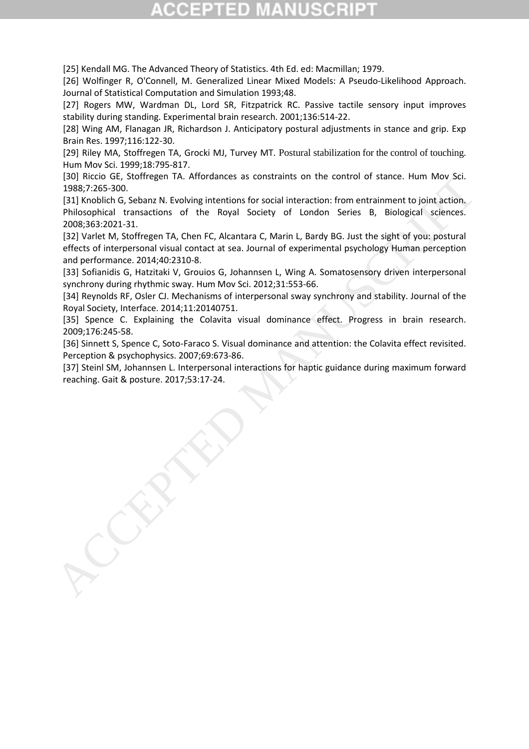[25] Kendall MG. The Advanced Theory of Statistics. 4th Ed. ed: Macmillan; 1979.

[26] Wolfinger R, O'Connell, M. Generalized Linear Mixed Models: A Pseudo-Likelihood Approach. Journal of Statistical Computation and Simulation 1993;48.

[27] Rogers MW, Wardman DL, Lord SR, Fitzpatrick RC. Passive tactile sensory input improves stability during standing. Experimental brain research. 2001;136:514-22.

[28] Wing AM, Flanagan JR, Richardson J. Anticipatory postural adjustments in stance and grip. Exp Brain Res. 1997;116:122-30.

[29] Riley MA, Stoffregen TA, Grocki MJ, Turvey MT. Postural stabilization for the control of touching. Hum Mov Sci. 1999;18:795-817.

[30] Riccio GE, Stoffregen TA. Affordances as constraints on the control of stance. Hum Mov Sci. 1988;7:265-300.

[31] Knoblich G, Sebanz N. Evolving intentions for social interaction: from entrainment to joint action. Philosophical transactions of the Royal Society of London Series B, Biological sciences. 2008;363:2021-31.

[32] Varlet M, Stoffregen TA, Chen FC, Alcantara C, Marin L, Bardy BG. Just the sight of you: postural effects of interpersonal visual contact at sea. Journal of experimental psychology Human perception and performance. 2014;40:2310-8. 1901 Nicola O. Stormegen I.A. Amorances as constraints on the control of stance. Hum Mov Scl.<br>
191887:265-300.<br>
191887:265-300.<br>
Eligit Knobürle, Sebana M. Evolvivig interlucions for social interaction: from entrainment to

[33] Sofianidis G, Hatzitaki V, Grouios G, Johannsen L, Wing A. Somatosensory driven interpersonal synchrony during rhythmic sway. Hum Mov Sci. 2012;31:553-66.

[34] Reynolds RF, Osler CJ. Mechanisms of interpersonal sway synchrony and stability. Journal of the Royal Society, Interface. 2014;11:20140751.

[35] Spence C. Explaining the Colavita visual dominance effect. Progress in brain research. 2009;176:245-58.

[36] Sinnett S, Spence C, Soto-Faraco S. Visual dominance and attention: the Colavita effect revisited. Perception & psychophysics. 2007;69:673-86.

[37] Steinl SM, Johannsen L. Interpersonal interactions for haptic guidance during maximum forward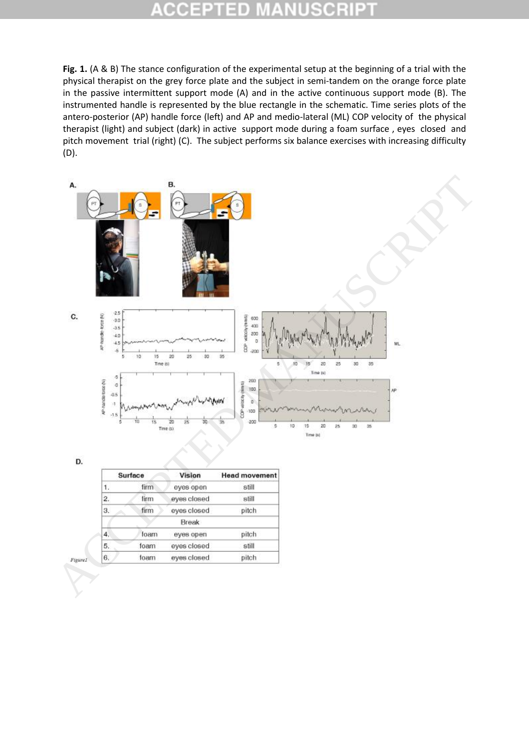#### × C o D

**Fig. 1.** (A & B) The stance configuration of the experimental setup at the beginning of a trial with the physical therapist on the grey force plate and the subject in semi-tandem on the orange force plate in the passive intermittent support mode (A) and in the active continuous support mode (B). The instrumented handle is represented by the blue rectangle in the schematic. Time series plots of the antero-posterior (AP) handle force (left) and AP and medio-lateral (ML) COP velocity of the physical therapist (light) and subject (dark) in active support mode during a foam surface , eyes closed and pitch movement trial (right) (C). The subject performs six balance exercises with increasing difficulty (D).



| Surface          |      | Vision      | <b>Head movement</b> |
|------------------|------|-------------|----------------------|
| 1.               | firm | eyes open   | still                |
| $\overline{2}$   | firm | eyes closed | still                |
| 3.               | firm | eyes closed | pitch                |
|                  |      | Break       |                      |
| 4.               | foam | eyes open   | pitch                |
| $\overline{5}$ . | foam | eyes closed | still                |
| 6.               | foam | eyes closed | pitch                |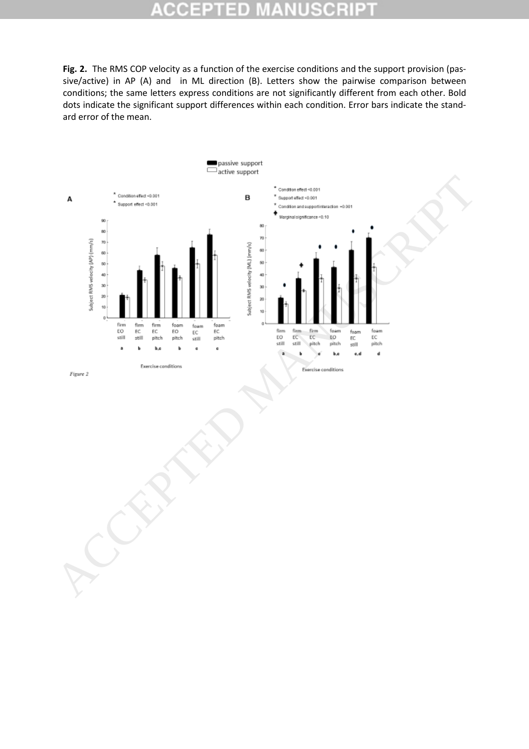#### ۰ lo D

**Fig. 2.** The RMS COP velocity as a function of the exercise conditions and the support provision (passive/active) in AP (A) and in ML direction (B). Letters show the pairwise comparison between conditions; the same letters express conditions are not significantly different from each other. Bold dots indicate the significant support differences within each condition. Error bars indicate the standard error of the mean.

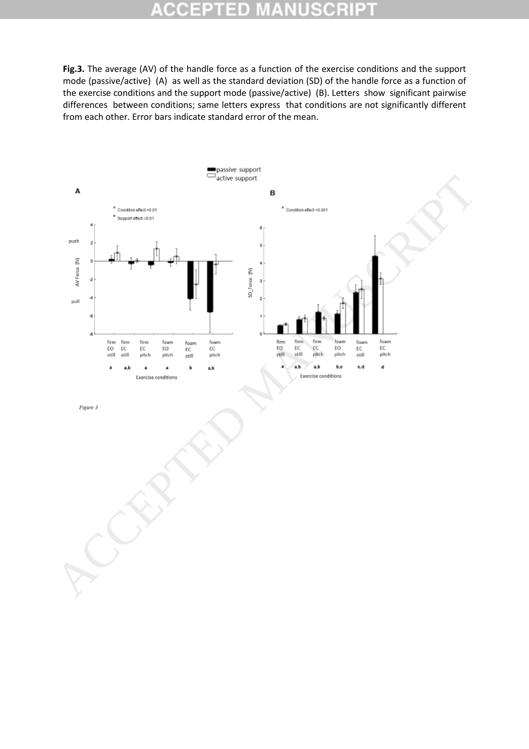#### Ð CO

**Fig.3.** The average (AV) of the handle force as a function of the exercise conditions and the support mode (passive/active) (A) as well as the standard deviation (SD) of the handle force as a function of the exercise conditions and the support mode (passive/active) (B). Letters show significant pairwise differences between conditions; same letters express that conditions are not significantly different from each other. Error bars indicate standard error of the mean.

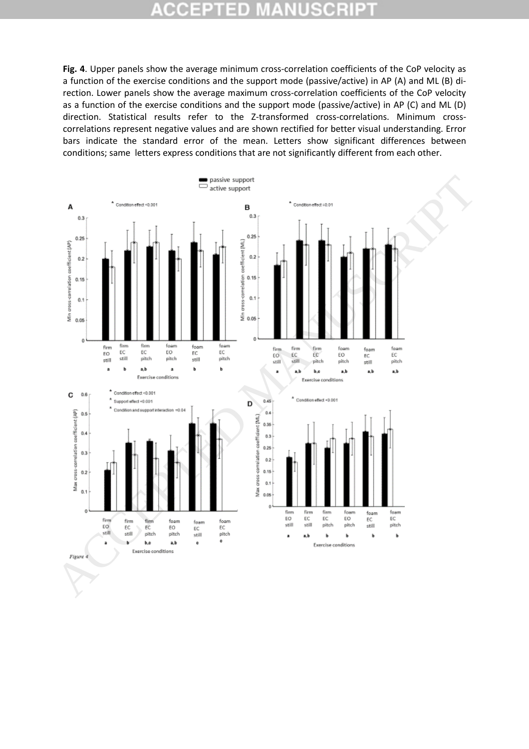#### CCEPT 3D R P) C.  $\pm$

**Fig. 4**. Upper panels show the average minimum cross-correlation coefficients of the CoP velocity as a function of the exercise conditions and the support mode (passive/active) in AP (A) and ML (B) direction. Lower panels show the average maximum cross-correlation coefficients of the CoP velocity as a function of the exercise conditions and the support mode (passive/active) in AP (C) and ML (D) direction. Statistical results refer to the Z-transformed cross-correlations. Minimum crosscorrelations represent negative values and are shown rectified for better visual understanding. Error bars indicate the standard error of the mean. Letters show significant differences between conditions; same letters express conditions that are not significantly different from each other.